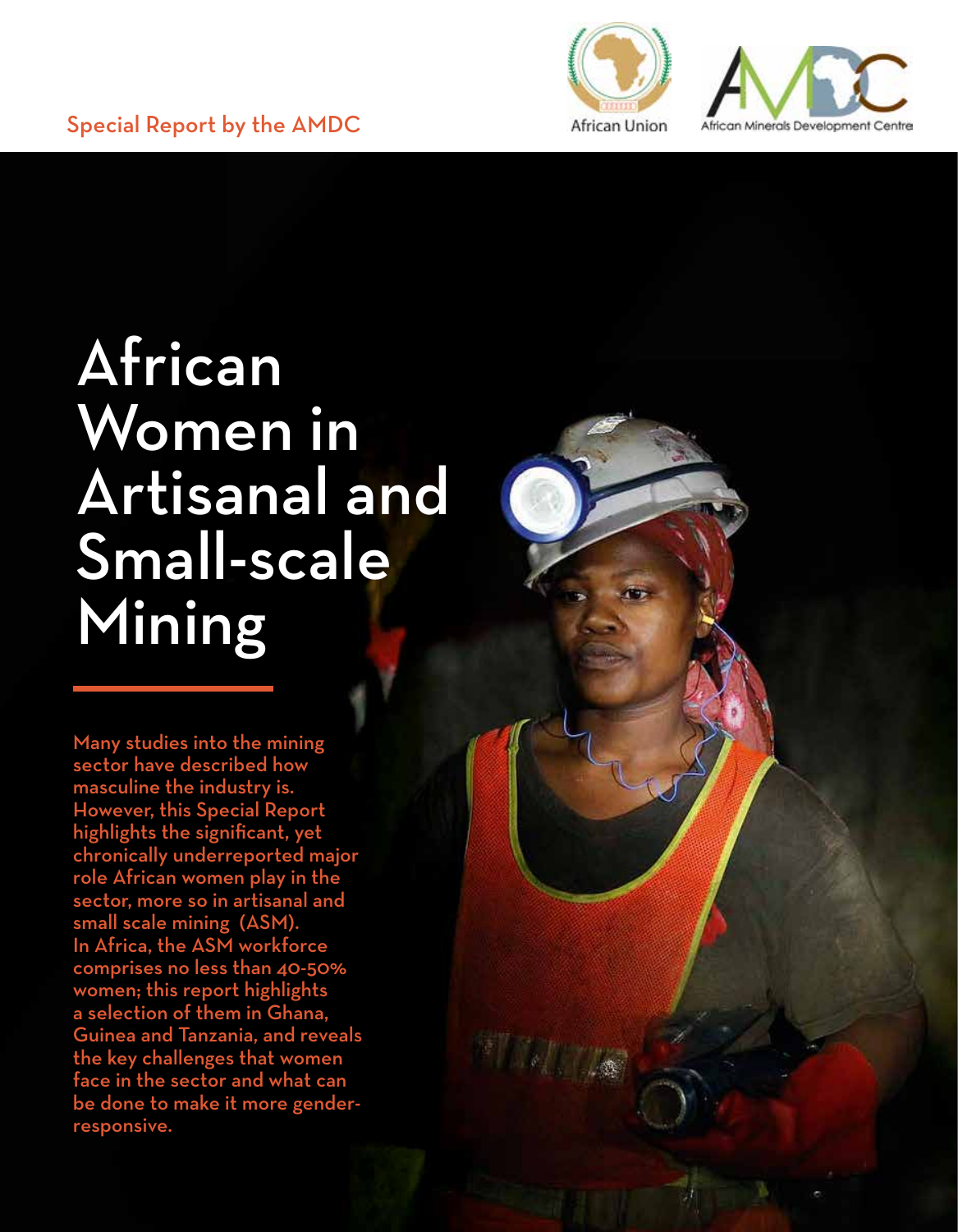



# African Women in Artisanal and Small-scale Mining

Many studies into the mining sector have described how masculine the industry is. However, this Special Report highlights the significant, yet chronically underreported major role African women play in the sector, more so in artisanal and small scale mining (ASM). In Africa, the ASM workforce comprises no less than 40-50% women; this report highlights a selection of them in Ghana, Guinea and Tanzania, and reveals the key challenges that women face in the sector and what can be done to make it more genderresponsive.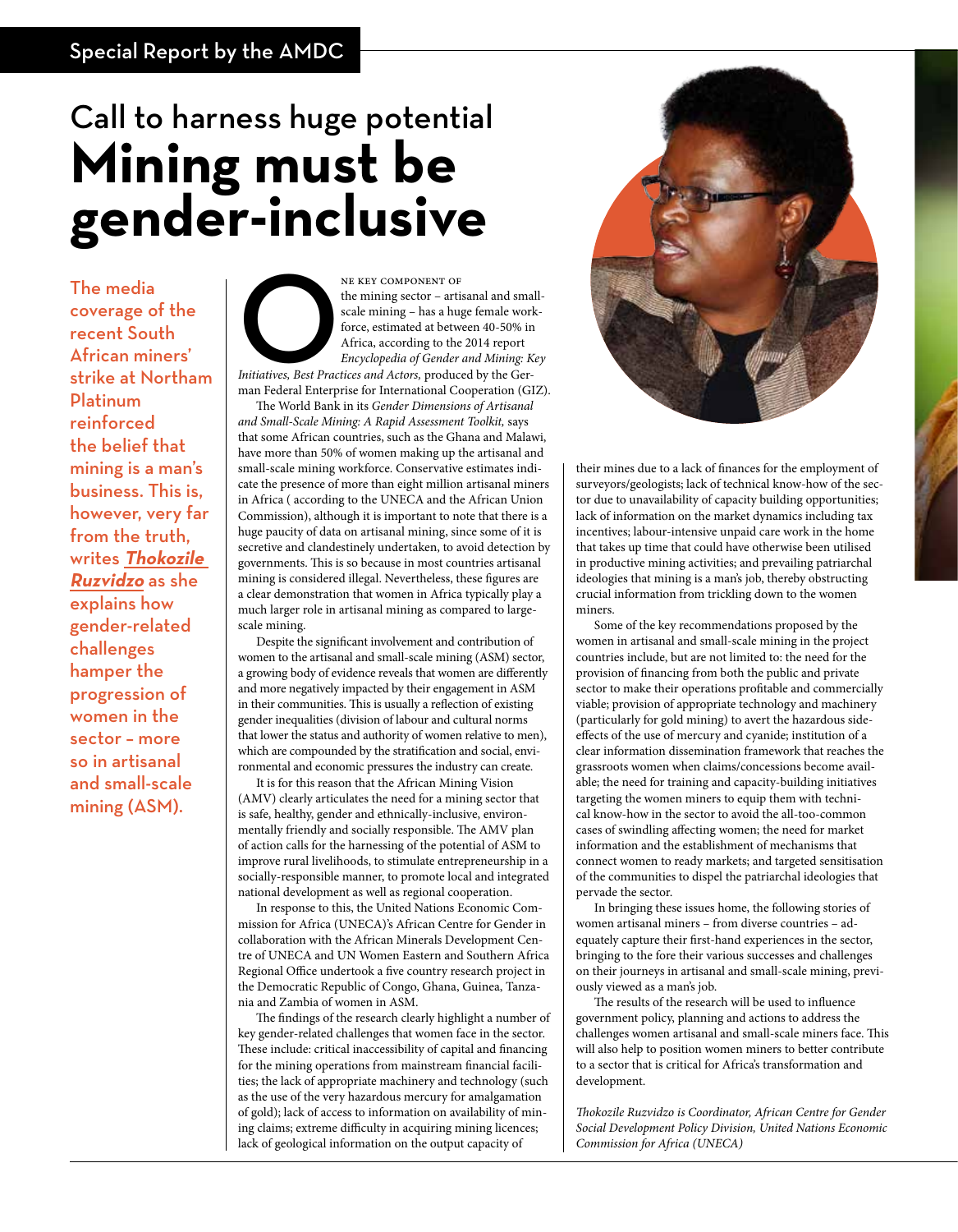## Call to harness huge potential **Mining must be gender-inclusive**

The media coverage of the recent South African miners' strike at Northam Platinum reinforced the belief that mining is a man's business. This is, however, very far from the truth, writes **Thokozile Ruzvidzo** as she explains how gender-related challenges hamper the progression of women in the sector – more so in artisanal and small-scale mining (ASM).

**EXET COMPONENT OF**<br> *Initiatives, Best Practices and Actors, produced by the Ger-<br>
<i>Initiatives, Best Practices and Actors, produced by the Ger-*<br> *Initiatives, Best Practices and Actors, produced by the Ger-*<br> *Initiativ* the mining sector – artisanal and smallscale mining – has a huge female workforce, estimated at between 40-50% in Africa, according to the 2014 report *Encyclopedia of Gender and Mining: Key* 

man Federal Enterprise for International Cooperation (GIZ). The World Bank in its *Gender Dimensions of Artisanal* 

*and Small-Scale Mining: A Rapid Assessment Toolkit,* says that some African countries, such as the Ghana and Malawi, have more than 50% of women making up the artisanal and small-scale mining workforce. Conservative estimates indicate the presence of more than eight million artisanal miners in Africa ( according to the UNECA and the African Union Commission), although it is important to note that there is a huge paucity of data on artisanal mining, since some of it is secretive and clandestinely undertaken, to avoid detection by governments. This is so because in most countries artisanal mining is considered illegal. Nevertheless, these figures are a clear demonstration that women in Africa typically play a much larger role in artisanal mining as compared to largescale mining.

Despite the significant involvement and contribution of women to the artisanal and small-scale mining (ASM) sector, a growing body of evidence reveals that women are differently and more negatively impacted by their engagement in ASM in their communities. This is usually a reflection of existing gender inequalities (division of labour and cultural norms that lower the status and authority of women relative to men), which are compounded by the stratification and social, environmental and economic pressures the industry can create.

It is for this reason that the African Mining Vision (AMV) clearly articulates the need for a mining sector that is safe, healthy, gender and ethnically-inclusive, environmentally friendly and socially responsible. The AMV plan of action calls for the harnessing of the potential of ASM to improve rural livelihoods, to stimulate entrepreneurship in a socially-responsible manner, to promote local and integrated national development as well as regional cooperation.

In response to this, the United Nations Economic Commission for Africa (UNECA)'s African Centre for Gender in collaboration with the African Minerals Development Centre of UNECA and UN Women Eastern and Southern Africa Regional Office undertook a five country research project in the Democratic Republic of Congo, Ghana, Guinea, Tanzania and Zambia of women in ASM.

The findings of the research clearly highlight a number of key gender-related challenges that women face in the sector. These include: critical inaccessibility of capital and financing for the mining operations from mainstream financial facilities; the lack of appropriate machinery and technology (such as the use of the very hazardous mercury for amalgamation of gold); lack of access to information on availability of mining claims; extreme difficulty in acquiring mining licences; lack of geological information on the output capacity of



their mines due to a lack of finances for the employment of surveyors/geologists; lack of technical know-how of the sector due to unavailability of capacity building opportunities; lack of information on the market dynamics including tax incentives; labour-intensive unpaid care work in the home that takes up time that could have otherwise been utilised in productive mining activities; and prevailing patriarchal ideologies that mining is a man's job, thereby obstructing crucial information from trickling down to the women miners.

Some of the key recommendations proposed by the women in artisanal and small-scale mining in the project countries include, but are not limited to: the need for the provision of financing from both the public and private sector to make their operations profitable and commercially viable; provision of appropriate technology and machinery (particularly for gold mining) to avert the hazardous sideeffects of the use of mercury and cyanide; institution of a clear information dissemination framework that reaches the grassroots women when claims/concessions become available; the need for training and capacity-building initiatives targeting the women miners to equip them with technical know-how in the sector to avoid the all-too-common cases of swindling affecting women; the need for market information and the establishment of mechanisms that connect women to ready markets; and targeted sensitisation of the communities to dispel the patriarchal ideologies that pervade the sector.

In bringing these issues home, the following stories of women artisanal miners – from diverse countries – adequately capture their first-hand experiences in the sector, bringing to the fore their various successes and challenges on their journeys in artisanal and small-scale mining, previously viewed as a man's job.

The results of the research will be used to influence government policy, planning and actions to address the challenges women artisanal and small-scale miners face. This will also help to position women miners to better contribute to a sector that is critical for Africa's transformation and development.

*Thokozile Ruzvidzo is Coordinator, African Centre for Gender Social Development Policy Division, United Nations Economic Commission for Africa (UNECA)*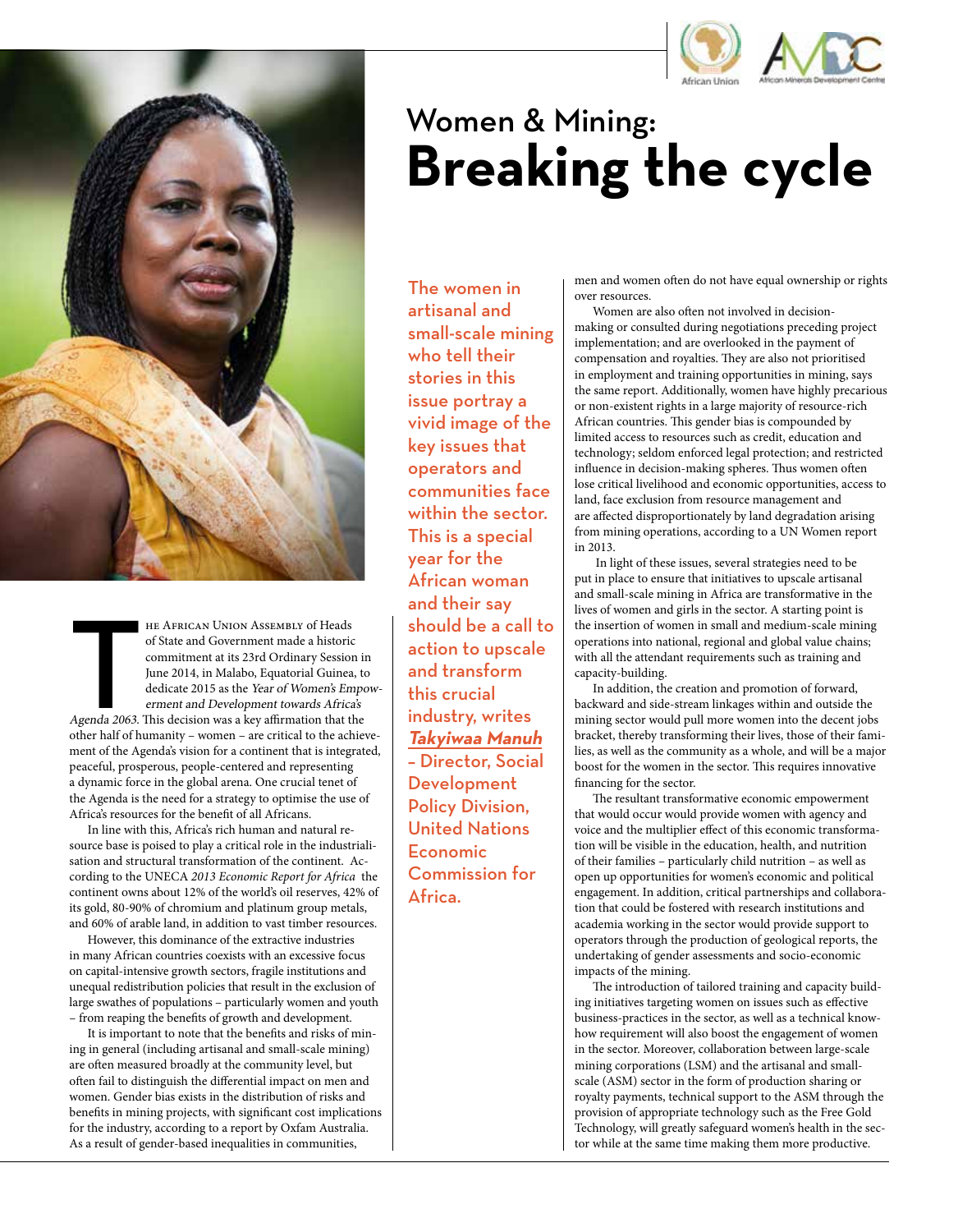



HE AFRICAN UNION ASSEMBLY of Heads<br>of State and Government made a historic<br>commitment at its 23rd Ordinary Session is<br>June 2014, in Malabo, Equatorial Guinea, to<br>dedicate 2015 as the Year of Women's Emperarment and Develop he African Union Assembly of Heads of State and Government made a historic commitment at its 23rd Ordinary Session in June 2014, in Malabo, Equatorial Guinea, to dedicate 2015 as the Year of Women's Empowerment and Development towards Africa's other half of humanity – women – are critical to the achievement of the Agenda's vision for a continent that is integrated, peaceful, prosperous, people-centered and representing a dynamic force in the global arena. One crucial tenet of the Agenda is the need for a strategy to optimise the use of Africa's resources for the benefit of all Africans.

In line with this, Africa's rich human and natural resource base is poised to play a critical role in the industrialisation and structural transformation of the continent. According to the UNECA *2013 Economic Report for Africa* the continent owns about 12% of the world's oil reserves, 42% of its gold, 80-90% of chromium and platinum group metals, and 60% of arable land, in addition to vast timber resources.

However, this dominance of the extractive industries in many African countries coexists with an excessive focus on capital-intensive growth sectors, fragile institutions and unequal redistribution policies that result in the exclusion of large swathes of populations – particularly women and youth – from reaping the benefits of growth and development.

It is important to note that the benefits and risks of mining in general (including artisanal and small-scale mining) are often measured broadly at the community level, but often fail to distinguish the differential impact on men and women. Gender bias exists in the distribution of risks and benefits in mining projects, with significant cost implications for the industry, according to a report by Oxfam Australia. As a result of gender-based inequalities in communities,

## Women & Mining: **Breaking the cycle**

The women in artisanal and small-scale mining who tell their stories in this issue portray a vivid image of the key issues that operators and communities face within the sector. This is a special year for the African woman and their say should be a call to action to upscale and transform this crucial industry, writes **Takyiwaa Manuh** – Director, Social **Development** Policy Division, United Nations Economic Commission for Africa.

men and women often do not have equal ownership or rights over resources.

Women are also often not involved in decisionmaking or consulted during negotiations preceding project implementation; and are overlooked in the payment of compensation and royalties. They are also not prioritised in employment and training opportunities in mining, says the same report. Additionally, women have highly precarious or non-existent rights in a large majority of resource-rich African countries. This gender bias is compounded by limited access to resources such as credit, education and technology; seldom enforced legal protection; and restricted influence in decision-making spheres. Thus women often lose critical livelihood and economic opportunities, access to land, face exclusion from resource management and are affected disproportionately by land degradation arising from mining operations, according to a UN Women report in 2013.

 In light of these issues, several strategies need to be put in place to ensure that initiatives to upscale artisanal and small-scale mining in Africa are transformative in the lives of women and girls in the sector. A starting point is the insertion of women in small and medium-scale mining operations into national, regional and global value chains; with all the attendant requirements such as training and capacity-building.

In addition, the creation and promotion of forward, backward and side-stream linkages within and outside the mining sector would pull more women into the decent jobs bracket, thereby transforming their lives, those of their families, as well as the community as a whole, and will be a major boost for the women in the sector. This requires innovative financing for the sector.

The resultant transformative economic empowerment that would occur would provide women with agency and voice and the multiplier effect of this economic transformation will be visible in the education, health, and nutrition of their families – particularly child nutrition – as well as open up opportunities for women's economic and political engagement. In addition, critical partnerships and collaboration that could be fostered with research institutions and academia working in the sector would provide support to operators through the production of geological reports, the undertaking of gender assessments and socio-economic impacts of the mining.

The introduction of tailored training and capacity building initiatives targeting women on issues such as effective business-practices in the sector, as well as a technical knowhow requirement will also boost the engagement of women in the sector. Moreover, collaboration between large-scale mining corporations (LSM) and the artisanal and smallscale (ASM) sector in the form of production sharing or royalty payments, technical support to the ASM through the provision of appropriate technology such as the Free Gold Technology, will greatly safeguard women's health in the sector while at the same time making them more productive.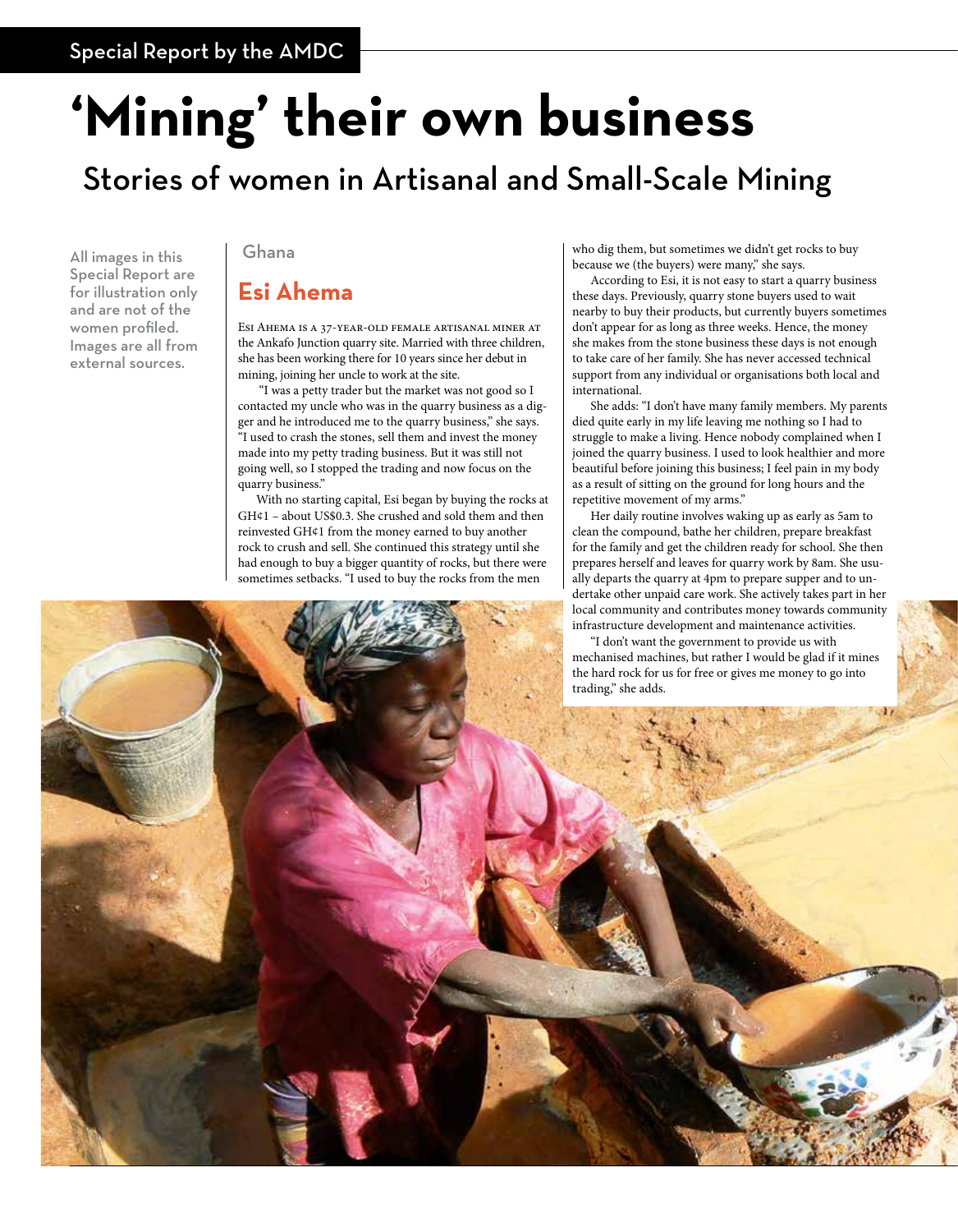# **'Mining' their own business**

## Stories of women in Artisanal and Small-Scale Mining

All images in this Special Report are for illustration only and are not of the women profiled. Images are all from external sources.

#### Ghana

#### **Esi Ahema**

Esi Ahema is a 37-year-old female artisanal miner at the Ankafo Junction quarry site. Married with three children, she has been working there for 10 years since her debut in mining, joining her uncle to work at the site.

 "I was a petty trader but the market was not good so I contacted my uncle who was in the quarry business as a digger and he introduced me to the quarry business," she says. "I used to crash the stones, sell them and invest the money made into my petty trading business. But it was still not going well, so I stopped the trading and now focus on the quarry business."

With no starting capital, Esi began by buying the rocks at GH¢1 – about US\$0.3. She crushed and sold them and then reinvested GH¢1 from the money earned to buy another rock to crush and sell. She continued this strategy until she had enough to buy a bigger quantity of rocks, but there were sometimes setbacks. "I used to buy the rocks from the men

who dig them, but sometimes we didn't get rocks to buy because we (the buyers) were many," she says.

According to Esi, it is not easy to start a quarry business these days. Previously, quarry stone buyers used to wait nearby to buy their products, but currently buyers sometimes don't appear for as long as three weeks. Hence, the money she makes from the stone business these days is not enough to take care of her family. She has never accessed technical support from any individual or organisations both local and international.

She adds: "I don't have many family members. My parents died quite early in my life leaving me nothing so I had to struggle to make a living. Hence nobody complained when I joined the quarry business. I used to look healthier and more beautiful before joining this business; I feel pain in my body as a result of sitting on the ground for long hours and the repetitive movement of my arms."

Her daily routine involves waking up as early as 5am to clean the compound, bathe her children, prepare breakfast for the family and get the children ready for school. She then prepares herself and leaves for quarry work by 8am. She usually departs the quarry at 4pm to prepare supper and to undertake other unpaid care work. She actively takes part in her local community and contributes money towards community

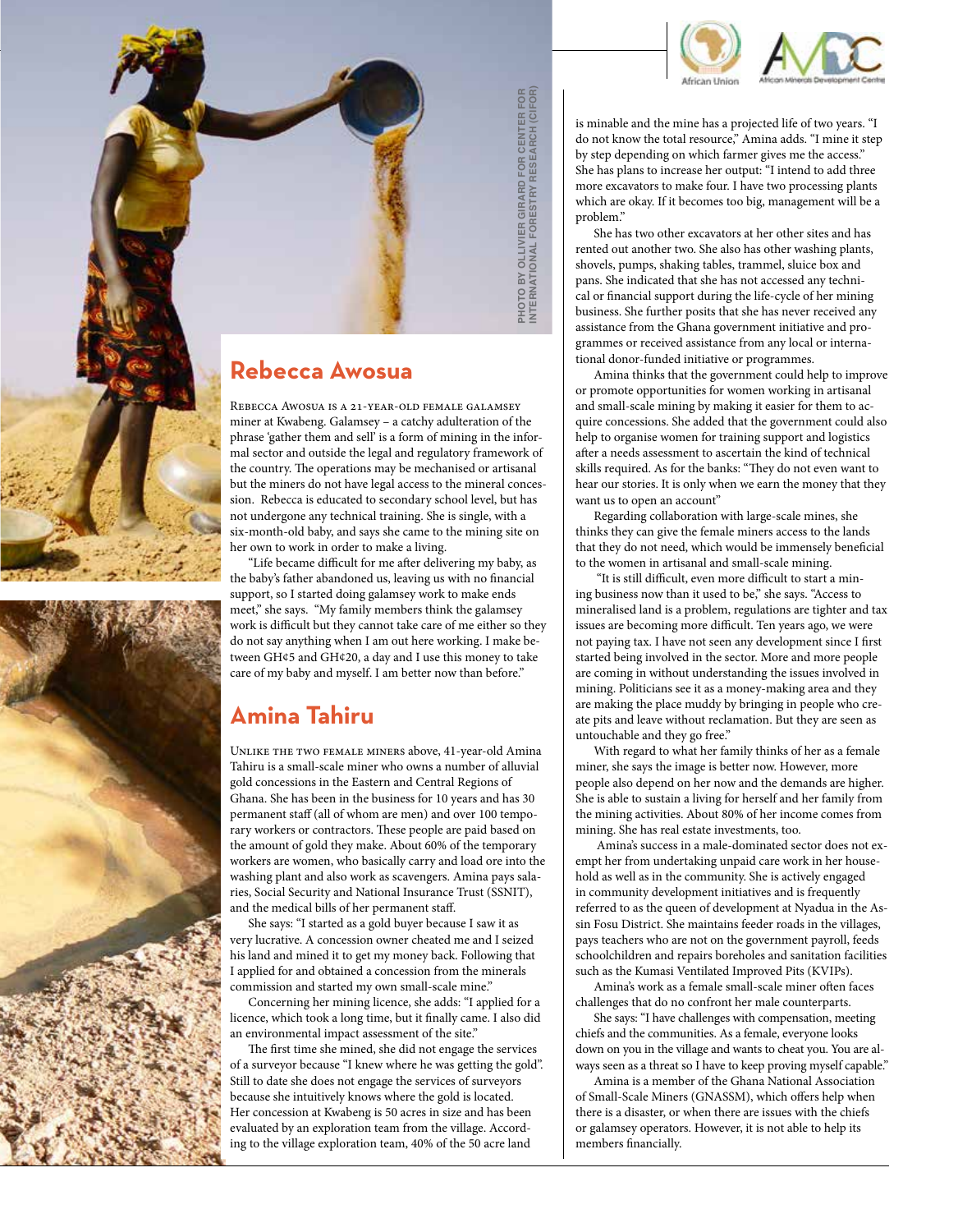

is minable and the mine has a projected life of two years. "I

### **Rebecca Awosua**

Rebecca Awosua is a 21-year-old female galamsey miner at Kwabeng. Galamsey – a catchy adulteration of the phrase 'gather them and sell' is a form of mining in the informal sector and outside the legal and regulatory framework of the country. The operations may be mechanised or artisanal but the miners do not have legal access to the mineral concession. Rebecca is educated to secondary school level, but has not undergone any technical training. She is single, with a six-month-old baby, and says she came to the mining site on her own to work in order to make a living.

"Life became difficult for me after delivering my baby, as the baby's father abandoned us, leaving us with no financial support, so I started doing galamsey work to make ends meet," she says. "My family members think the galamsey work is difficult but they cannot take care of me either so they do not say anything when I am out here working. I make between GH¢5 and GH¢20, a day and I use this money to take care of my baby and myself. I am better now than before."

#### **Amina Tahiru**

Unlike the two female miners above, 41-year-old Amina Tahiru is a small-scale miner who owns a number of alluvial gold concessions in the Eastern and Central Regions of Ghana. She has been in the business for 10 years and has 30 permanent staff (all of whom are men) and over 100 temporary workers or contractors. These people are paid based on the amount of gold they make. About 60% of the temporary workers are women, who basically carry and load ore into the washing plant and also work as scavengers. Amina pays salaries, Social Security and National Insurance Trust (SSNIT), and the medical bills of her permanent staff. **Exploration technology of the village exploration** team, the significant state of the significant state of the village exploration of the phrase 'salter them and sell' is a form of minima in the information of the phrase

She says: "I started as a gold buyer because I saw it as very lucrative. A concession owner cheated me and I seized his land and mined it to get my money back. Following that I applied for and obtained a concession from the minerals commission and started my own small-scale mine."

Concerning her mining licence, she adds: "I applied for a licence, which took a long time, but it finally came. I also did an environmental impact assessment of the site."

The first time she mined, she did not engage the services of a surveyor because "I knew where he was getting the gold". Still to date she does not engage the services of surveyors because she intuitively knows where the gold is located. Her concession at Kwabeng is 50 acres in size and has been evaluated by an exploration team from the village. Accord-

do not know the total resource," Amina adds. "I mine it step by step depending on which farmer gives me the access." She has plans to increase her output: "I intend to add three more excavators to make four. I have two processing plants which are okay. If it becomes too big, management will be a problem."

She has two other excavators at her other sites and has rented out another two. She also has other washing plants, shovels, pumps, shaking tables, trammel, sluice box and pans. She indicated that she has not accessed any technical or financial support during the life-cycle of her mining business. She further posits that she has never received any assistance from the Ghana government initiative and programmes or received assistance from any local or international donor-funded initiative or programmes.

Amina thinks that the government could help to improve or promote opportunities for women working in artisanal and small-scale mining by making it easier for them to acquire concessions. She added that the government could also help to organise women for training support and logistics after a needs assessment to ascertain the kind of technical skills required. As for the banks: "They do not even want to hear our stories. It is only when we earn the money that they want us to open an account"

Regarding collaboration with large-scale mines, she thinks they can give the female miners access to the lands that they do not need, which would be immensely beneficial to the women in artisanal and small-scale mining.

 "It is still difficult, even more difficult to start a mining business now than it used to be," she says. "Access to mineralised land is a problem, regulations are tighter and tax issues are becoming more difficult. Ten years ago, we were not paying tax. I have not seen any development since I first started being involved in the sector. More and more people are coming in without understanding the issues involved in mining. Politicians see it as a money-making area and they are making the place muddy by bringing in people who create pits and leave without reclamation. But they are seen as untouchable and they go free."

With regard to what her family thinks of her as a female miner, she says the image is better now. However, more people also depend on her now and the demands are higher. She is able to sustain a living for herself and her family from the mining activities. About 80% of her income comes from mining. She has real estate investments, too.

 Amina's success in a male-dominated sector does not exempt her from undertaking unpaid care work in her household as well as in the community. She is actively engaged in community development initiatives and is frequently referred to as the queen of development at Nyadua in the Assin Fosu District. She maintains feeder roads in the villages, pays teachers who are not on the government payroll, feeds schoolchildren and repairs boreholes and sanitation facilities such as the Kumasi Ventilated Improved Pits (KVIPs).

Amina's work as a female small-scale miner often faces challenges that do no confront her male counterparts.

She says: "I have challenges with compensation, meeting chiefs and the communities. As a female, everyone looks down on you in the village and wants to cheat you. You are always seen as a threat so I have to keep proving myself capable."

Amina is a member of the Ghana National Association of Small-Scale Miners (GNASSM), which offers help when there is a disaster, or when there are issues with the chiefs or galamsey operators. However, it is not able to help its members financially.

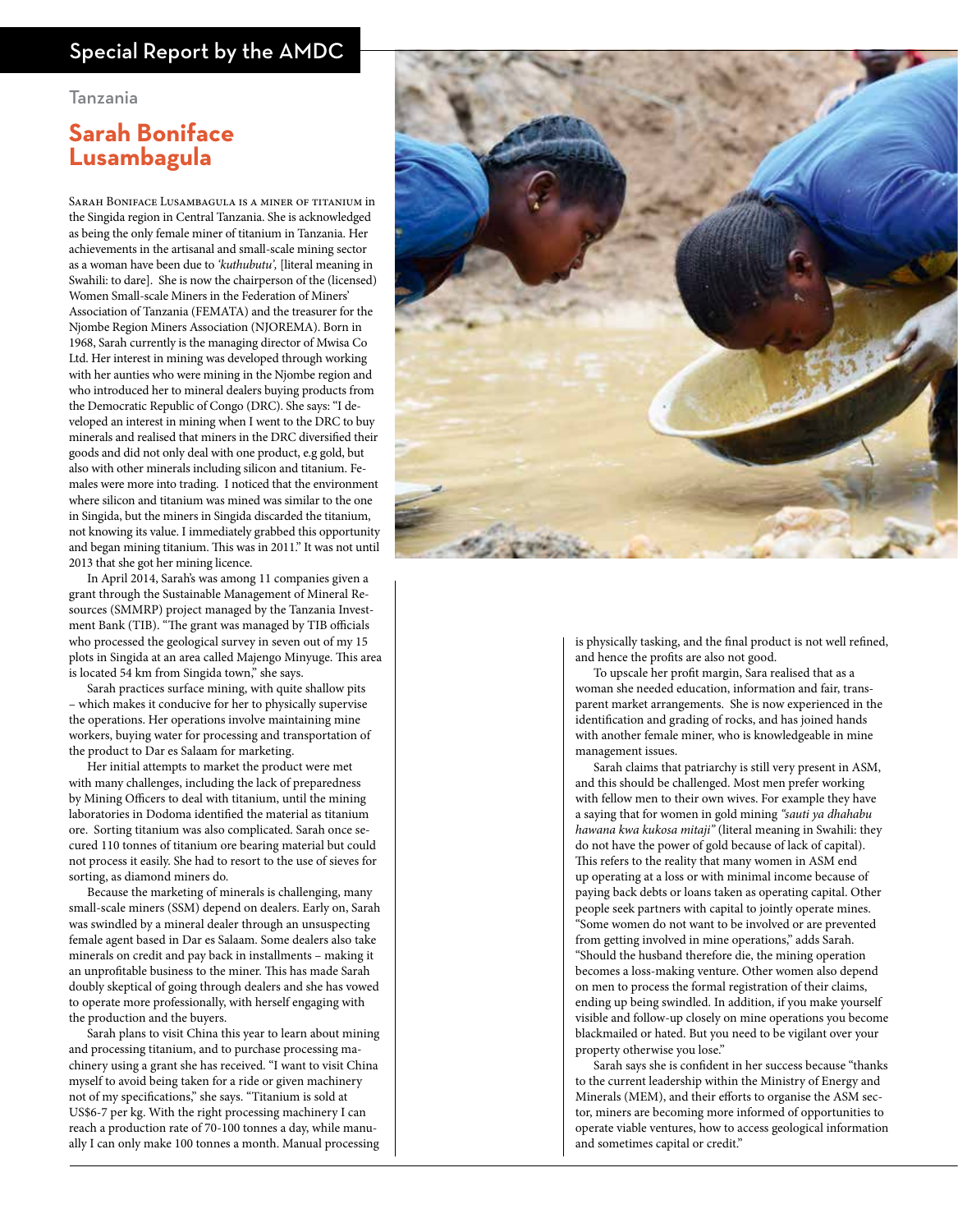#### Special Report by the AMDC

#### Tanzania

#### **Sarah Boniface Lusambagula**

Sarah Boniface Lusambagula is a miner of titanium in the Singida region in Central Tanzania. She is acknowledged as being the only female miner of titanium in Tanzania. Her achievements in the artisanal and small-scale mining sector as a woman have been due to *'kuthubutu',* [literal meaning in Swahili: to dare]. She is now the chairperson of the (licensed) Women Small-scale Miners in the Federation of Miners' Association of Tanzania (FEMATA) and the treasurer for the Njombe Region Miners Association (NJOREMA). Born in 1968, Sarah currently is the managing director of Mwisa Co Ltd. Her interest in mining was developed through working with her aunties who were mining in the Njombe region and who introduced her to mineral dealers buying products from the Democratic Republic of Congo (DRC). She says: "I developed an interest in mining when I went to the DRC to buy minerals and realised that miners in the DRC diversified their goods and did not only deal with one product, e.g gold, but also with other minerals including silicon and titanium. Females were more into trading. I noticed that the environment where silicon and titanium was mined was similar to the one in Singida, but the miners in Singida discarded the titanium, not knowing its value. I immediately grabbed this opportunity and began mining titanium. This was in 2011." It was not until 2013 that she got her mining licence.

In April 2014, Sarah's was among 11 companies given a grant through the Sustainable Management of Mineral Resources (SMMRP) project managed by the Tanzania Investment Bank (TIB). "The grant was managed by TIB officials who processed the geological survey in seven out of my 15 plots in Singida at an area called Majengo Minyuge. This area is located 54 km from Singida town," she says.

Sarah practices surface mining, with quite shallow pits – which makes it conducive for her to physically supervise the operations. Her operations involve maintaining mine workers, buying water for processing and transportation of the product to Dar es Salaam for marketing.

Her initial attempts to market the product were met with many challenges, including the lack of preparedness by Mining Officers to deal with titanium, until the mining laboratories in Dodoma identified the material as titanium ore. Sorting titanium was also complicated. Sarah once secured 110 tonnes of titanium ore bearing material but could not process it easily. She had to resort to the use of sieves for sorting, as diamond miners do.

Because the marketing of minerals is challenging, many small-scale miners (SSM) depend on dealers. Early on, Sarah was swindled by a mineral dealer through an unsuspecting female agent based in Dar es Salaam. Some dealers also take minerals on credit and pay back in installments – making it an unprofitable business to the miner. This has made Sarah doubly skeptical of going through dealers and she has vowed to operate more professionally, with herself engaging with the production and the buyers.

Sarah plans to visit China this year to learn about mining and processing titanium, and to purchase processing machinery using a grant she has received. "I want to visit China myself to avoid being taken for a ride or given machinery not of my specifications," she says. "Titanium is sold at US\$6-7 per kg. With the right processing machinery I can reach a production rate of 70-100 tonnes a day, while manually I can only make 100 tonnes a month. Manual processing



is physically tasking, and the final product is not well refined, and hence the profits are also not good.

To upscale her profit margin, Sara realised that as a woman she needed education, information and fair, transparent market arrangements. She is now experienced in the identification and grading of rocks, and has joined hands with another female miner, who is knowledgeable in mine management issues.

Sarah claims that patriarchy is still very present in ASM, and this should be challenged. Most men prefer working with fellow men to their own wives. For example they have a saying that for women in gold mining *"sauti ya dhahabu hawana kwa kukosa mitaji"* (literal meaning in Swahili: they do not have the power of gold because of lack of capital). This refers to the reality that many women in ASM end up operating at a loss or with minimal income because of paying back debts or loans taken as operating capital. Other people seek partners with capital to jointly operate mines. "Some women do not want to be involved or are prevented from getting involved in mine operations," adds Sarah. "Should the husband therefore die, the mining operation becomes a loss-making venture. Other women also depend on men to process the formal registration of their claims, ending up being swindled. In addition, if you make yourself visible and follow-up closely on mine operations you become blackmailed or hated. But you need to be vigilant over your property otherwise you lose."

Sarah says she is confident in her success because "thanks to the current leadership within the Ministry of Energy and Minerals (MEM), and their efforts to organise the ASM sector, miners are becoming more informed of opportunities to operate viable ventures, how to access geological information and sometimes capital or credit."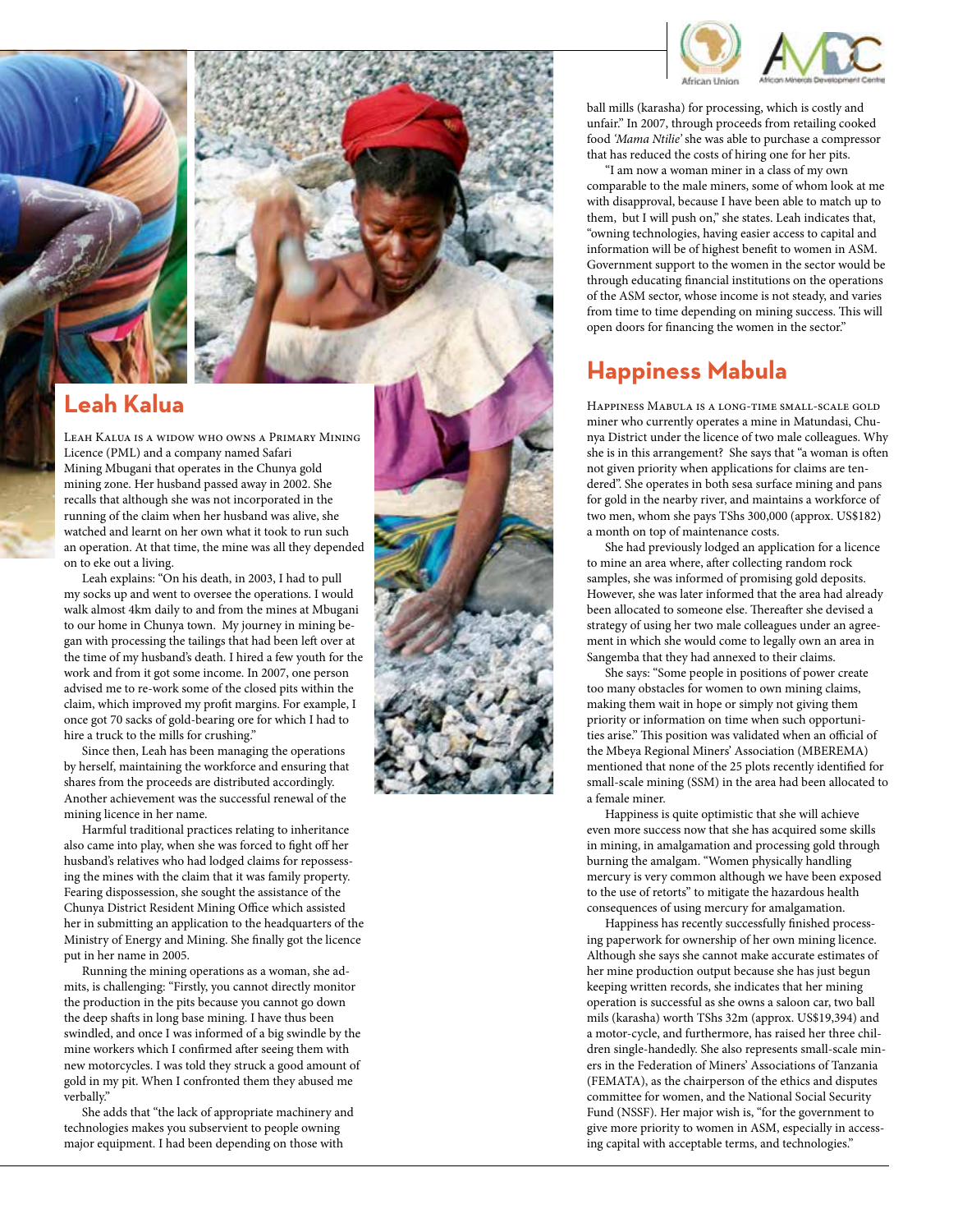



### **Leah Kalua**

Leah Kalua is a widow who owns a Primary Mining Licence (PML) and a company named Safari Mining Mbugani that operates in the Chunya gold mining zone. Her husband passed away in 2002. She recalls that although she was not incorporated in the running of the claim when her husband was alive, she watched and learnt on her own what it took to run such an operation. At that time, the mine was all they depended on to eke out a living.

Leah explains: "On his death, in 2003, I had to pull my socks up and went to oversee the operations. I would walk almost 4km daily to and from the mines at Mbugani to our home in Chunya town. My journey in mining be gan with processing the tailings that had been left over at the time of my husband's death. I hired a few youth for the work and from it got some income. In 2007, one person advised me to re-work some of the closed pits within the claim, which improved my profit margins. For example, I once got 70 sacks of gold-bearing ore for which I had to hire a truck to the mills for crushing."

Since then, Leah has been managing the operations by herself, maintaining the workforce and ensuring that shares from the proceeds are distributed accordingly. Another achievement was the successful renewal of the mining licence in her name.

Harmful traditional practices relating to inheritance also came into play, when she was forced to fight off her husband's relatives who had lodged claims for repossess ing the mines with the claim that it was family property. Fearing dispossession, she sought the assistance of the Chunya District Resident Mining Office which assisted her in submitting an application to the headquarters of the Ministry of Energy and Mining. She finally got the licence put in her name in 2005.

Running the mining operations as a woman, she ad mits, is challenging: "Firstly, you cannot directly monitor the production in the pits because you cannot go down the deep shafts in long base mining. I have thus been swindled, and once I was informed of a big swindle by the mine workers which I confirmed after seeing them with new motorcycles. I was told they struck a good amount of gold in my pit. When I confronted them they abused me verbally."

She adds that "the lack of appropriate machinery and technologies makes you subservient to people owning major equipment. I had been depending on those with



ball mills (karasha) for processing, which is costly and unfair." In 2007, through proceeds from retailing cooked food *'Mama Ntilie'* she was able to purchase a compressor that has reduced the costs of hiring one for her pits.

"I am now a woman miner in a class of my own comparable to the male miners, some of whom look at me with disapproval, because I have been able to match up to them, but I will push on," she states. Leah indicates that, "owning technologies, having easier access to capital and information will be of highest benefit to women in ASM. Government support to the women in the sector would be through educating financial institutions on the operations of the ASM sector, whose income is not steady, and varies from time to time depending on mining success. This will open doors for financing the women in the sector."

### **Happiness Mabula**

Happiness Mabula is a long-time small-scale gold miner who currently operates a mine in Matundasi, Chu nya District under the licence of two male colleagues. Why she is in this arrangement? She says that "a woman is often not given priority when applications for claims are ten dered". She operates in both sesa surface mining and pans for gold in the nearby river, and maintains a workforce of two men, whom she pays TShs 300,000 (approx. US\$182) a month on top of maintenance costs.

She had previously lodged an application for a licence to mine an area where, after collecting random rock samples, she was informed of promising gold deposits. However, she was later informed that the area had already been allocated to someone else. Thereafter she devised a strategy of using her two male colleagues under an agree ment in which she would come to legally own an area in Sangemba that they had annexed to their claims.

She says: "Some people in positions of power create too many obstacles for women to own mining claims, making them wait in hope or simply not giving them priority or information on time when such opportuni ties arise." This position was validated when an official of the Mbeya Regional Miners' Association (MBEREMA) mentioned that none of the 25 plots recently identified for small-scale mining (SSM) in the area had been allocated to a female miner.

Happiness is quite optimistic that she will achieve even more success now that she has acquired some skills in mining, in amalgamation and processing gold through burning the amalgam. "Women physically handling mercury is very common although we have been exposed to the use of retorts" to mitigate the hazardous health consequences of using mercury for amalgamation.

Happiness has recently successfully finished process ing paperwork for ownership of her own mining licence. Although she says she cannot make accurate estimates of her mine production output because she has just begun keeping written records, she indicates that her mining operation is successful as she owns a saloon car, two ball mils (karasha) worth TShs 32m (approx. US\$19,394) and a motor-cycle, and furthermore, has raised her three chil dren single-handedly. She also represents small-scale min ers in the Federation of Miners' Associations of Tanzania (FEMATA), as the chairperson of the ethics and disputes committee for women, and the National Social Security Fund (NSSF). Her major wish is, "for the government to give more priority to women in ASM, especially in access ing capital with acceptable terms, and technologies."